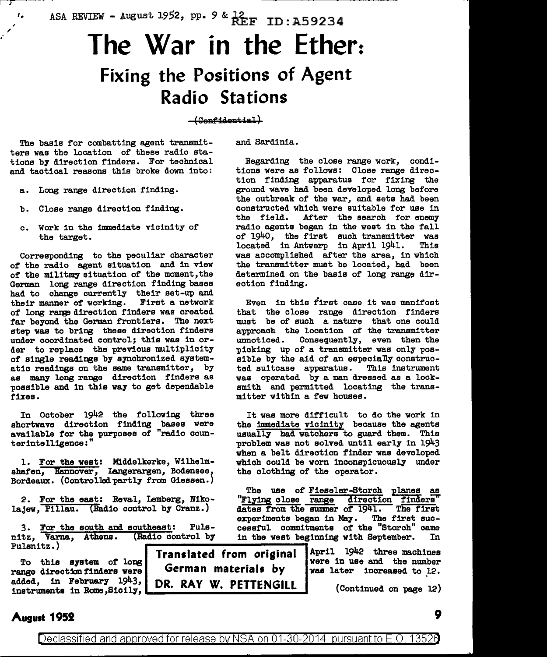ASA REVIEW - August 1952, pp. 9 & 12<br>REF ID: A59234

# **The War in the Ether: Fixing the Positions of Agent Radio Stations**

#### $+$ Confidential)

The basis for combatting agent transmitters was the location of these radio stations by direction finders. For technical and tactical reasons this broke down into:

Long range direction finding.

, /

- b. Close range direction finding.
- c. Work in the immediate vicinity of the target.

Corresponding to the peculiar character of the radio agent situation and in view of the military situation of the moment, the German long range direction finding bases had to change currently their aet-up and their manner of working. First a network of long range direction finders was created far beyond the German frontiers. The next step was to bring these direction finders under coordinated control; this was in order to replace the previous multiplicity of single readings by synchronized systematic readings on the same transmitter, by as many long range direction finders as possible and in this way to get dependable fixes.

In October 1942 the following three shortwave direction finding bases were available for the purposes of "radio counterintelligence:"

1. For the west: Middelkerke, Wilhelmshafen, Hannover, Langerargen, Bodensee, Bordeaux. (Controlled partly from Giessen.)

2. For the east: Bev&l, Lemberg, Nikolajew, Pillau. (Radio control by Cranz.)

3. For the south and southeast: Puls- cessful commitments of the "Storch" came nitz, Varna, Athens. (Radio control by in the west beginning with September. In nitz, Varna, Athens. (Radio control by in the west beginning with September.<br>Pulsnitz.)

added, in February 1943, DR. RAY W. PETTENGILL (Continued on page 12)

and Sardinia.

Begarding the close range work, conditions were as follows: Close range direction finding apparatus for fixing the ground wave had been developed long before the outbreak of the war, and sets had been constructed which were suitable for use in<br>the field. After the search for enemy After the search for enemy radio agents began in the west in the fall of 1940, the first such transmitter was<br>located in Antwerp in April 1941. This located in Antwerp in April 1941. was accomplished after the area, in which the transmitter must be located, had been determined on the basis of long range direction finding.

Even in this first case it was manifest that the close range direction finders must be of such a nature that one could approach the location of the transmitter<br>unnoticed. Consequently, even then the Consequently, even then the picking up of a transmitter was only possible by the aid of an especially constructed suitcase apparatus. This instrument was operated by a man dressed as a locksmith and permitted locating the transmitter within a few houses.

It was more difficult to do the work in the immediate vicinity because the agents usually had watchers to guard them. This problem was not solved until early in 1943 when a belt direction finder was developed which could be worn inconspicuously under the clothing of the operator.

The use of Fieseler-Storch planes as "Flying close range direction finders" dates from the summer of 1941. The first dates from the summer of 1941. The first experiments began in May. The first suc-

rights.)<br>To this system of long **I ranslated from original** April 1942 three machines To this system of long indication in the line were in use and the number<br>range direction finders were **German** materials by was later increased to 12. German materials by

## **August 1952 9 9**

Declassified and approved for release by NSA on 01-30-2014 pursuant to E.O. 13526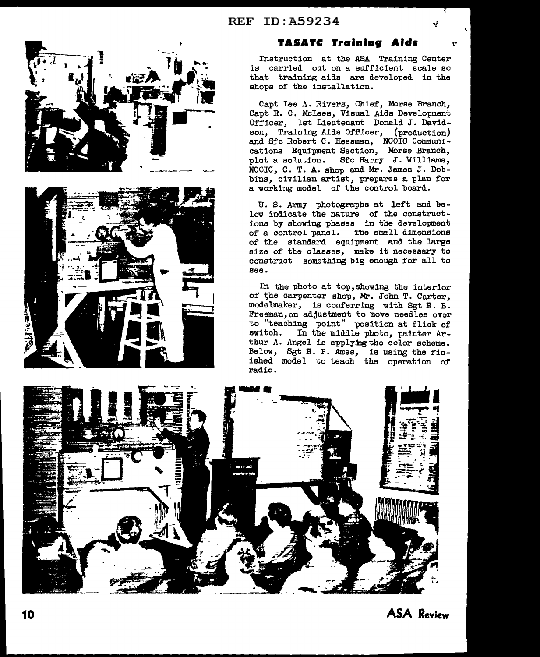



## **TASATC Training Aids**

Instruction at the ASA Training Center is carried out on a sufficient scale so that training aide are developed in the shops of the installation.

Capt lee A. Rivers, Chjef, Morse Branch, Capt R. C. Mclees, Visual Aida Development Officer, lat Lieutenant Donald J. Davidson, Training Aids Officer, (production) and Sfc Robert C. Hessman, NCOIC Communications Equipment Section, Moree Branch, plot a solution. Sfc Harry J. Williams, NCOIC, G. T. A. shop and Mr. James J. Dobbins, civilian artist, prepares a plan for a working model of the control board.

U. S. Army photographs at left and below indicate the nature of the constructions by showing phases in the development of a control panel. The small dimensions of the standard equipment and the large size of the classes, make it necessary to construct something big enough for all to see.

In the photo at top,showing the interior of the carpenter shop, Mr. John T. Carter, modelmaker, is conferring with Sgt R. B. Freeman,on adjustment to move needles over to "teaching point" position at flick of switch. In the middle photo, painter Arthur A. Angel is applying the color scheme. Below, Sgt R. P. Ames, is using the finished model to teach the operation of radio.



**ASA Review**